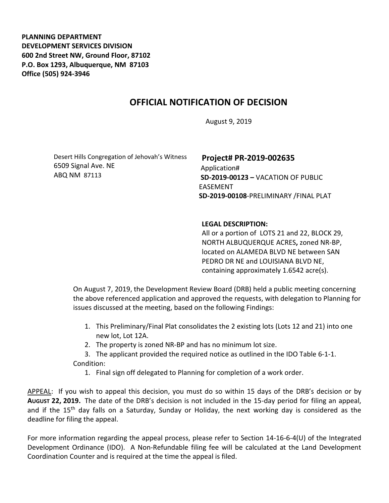**PLANNING DEPARTMENT DEVELOPMENT SERVICES DIVISION 600 2nd Street NW, Ground Floor, 87102 P.O. Box 1293, Albuquerque, NM 87103 Office (505) 924-3946** 

## **OFFICIAL NOTIFICATION OF DECISION**

August 9, 2019

Desert Hills Congregation of Jehovah's Witness 6509 Signal Ave. NE ABQ NM 87113

## **Project# PR-2019-002635**

Application# **SD-2019-00123 –** VACATION OF PUBLIC EASEMENT **SD-2019-00108**-PRELIMINARY /FINAL PLAT

## **LEGAL DESCRIPTION:**

All or a portion of LOTS 21 and 22, BLOCK 29, NORTH ALBUQUERQUE ACRES**,** zoned NR-BP, located on ALAMEDA BLVD NE between SAN PEDRO DR NE and LOUISIANA BLVD NE, containing approximately 1.6542 acre(s).

On August 7, 2019, the Development Review Board (DRB) held a public meeting concerning the above referenced application and approved the requests, with delegation to Planning for issues discussed at the meeting, based on the following Findings:

- 1. This Preliminary/Final Plat consolidates the 2 existing lots (Lots 12 and 21) into one new lot, Lot 12A.
- 2. The property is zoned NR-BP and has no minimum lot size.

3. The applicant provided the required notice as outlined in the IDO Table 6-1-1. Condition:

1. Final sign off delegated to Planning for completion of a work order.

APPEAL: If you wish to appeal this decision, you must do so within 15 days of the DRB's decision or by **AUGUST 22, 2019.** The date of the DRB's decision is not included in the 15-day period for filing an appeal, and if the 15<sup>th</sup> day falls on a Saturday, Sunday or Holiday, the next working day is considered as the deadline for filing the appeal.

For more information regarding the appeal process, please refer to Section 14-16-6-4(U) of the Integrated Development Ordinance (IDO). A Non-Refundable filing fee will be calculated at the Land Development Coordination Counter and is required at the time the appeal is filed.